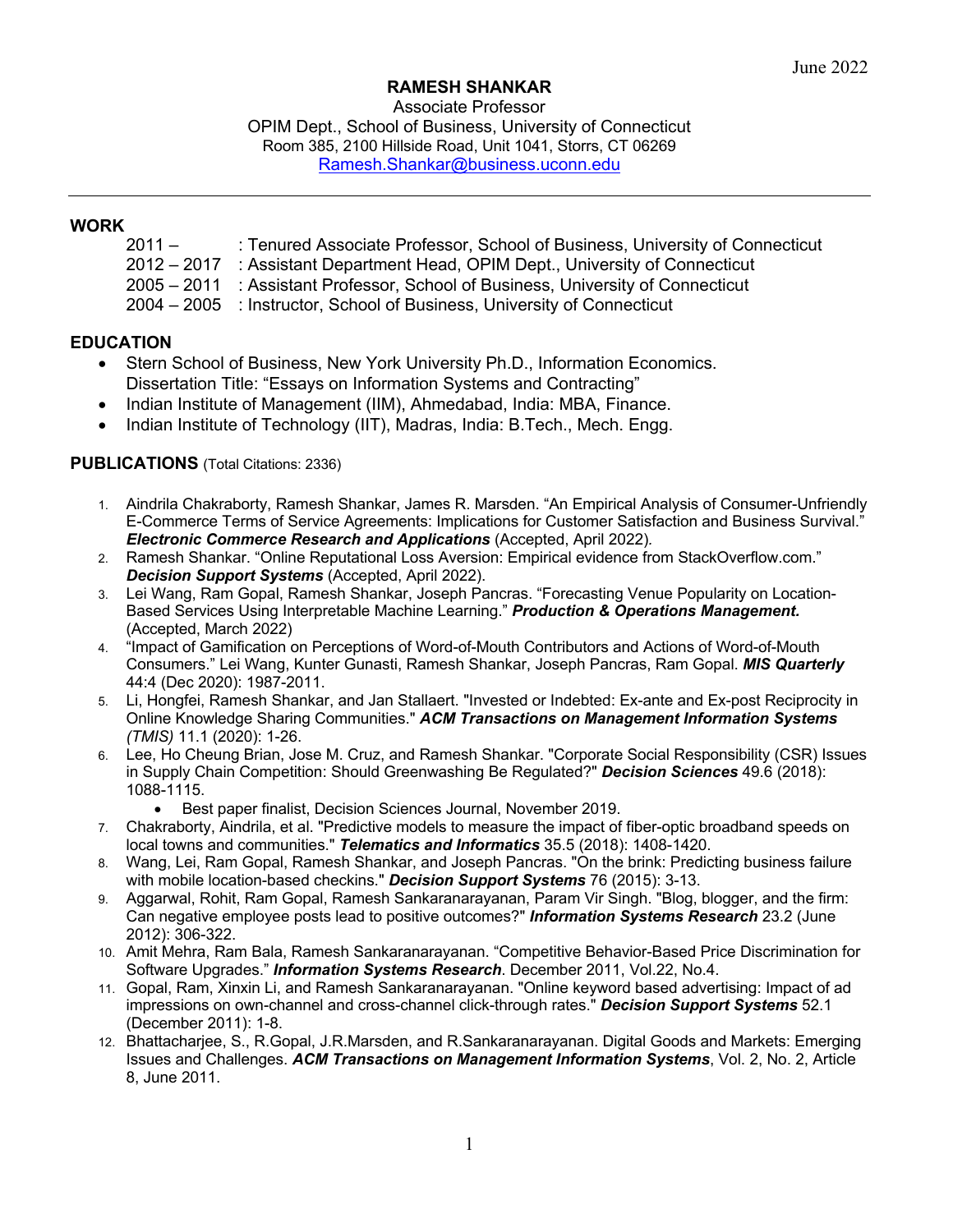#### **RAMESH SHANKAR**

Associate Professor OPIM Dept., School of Business, University of Connecticut Room 385, 2100 Hillside Road, Unit 1041, Storrs, CT 06269 Ramesh.Shankar@business.uconn.edu

### **WORK**

- 2011 : Tenured Associate Professor, School of Business, University of Connecticut
- 2012 2017 : Assistant Department Head, OPIM Dept., University of Connecticut
- 2005 2011 : Assistant Professor, School of Business, University of Connecticut
- 2004 2005 : Instructor, School of Business, University of Connecticut

# **EDUCATION**

- Stern School of Business, New York University Ph.D., Information Economics. Dissertation Title: "Essays on Information Systems and Contracting"
- Indian Institute of Management (IIM), Ahmedabad, India: MBA, Finance.
- Indian Institute of Technology (IIT), Madras, India: B.Tech., Mech. Engg.

#### **PUBLICATIONS** (Total Citations: 2336)

- 1. Aindrila Chakraborty, Ramesh Shankar, James R. Marsden. "An Empirical Analysis of Consumer-Unfriendly E-Commerce Terms of Service Agreements: Implications for Customer Satisfaction and Business Survival." *Electronic Commerce Research and Applications* (Accepted, April 2022)*.*
- 2. Ramesh Shankar. "Online Reputational Loss Aversion: Empirical evidence from StackOverflow.com." *Decision Support Systems* (Accepted, April 2022).
- 3. Lei Wang, Ram Gopal, Ramesh Shankar, Joseph Pancras. "Forecasting Venue Popularity on Location-Based Services Using Interpretable Machine Learning." *Production & Operations Management.* (Accepted, March 2022)
- 4. "Impact of Gamification on Perceptions of Word-of-Mouth Contributors and Actions of Word-of-Mouth Consumers." Lei Wang, Kunter Gunasti, Ramesh Shankar, Joseph Pancras, Ram Gopal. *MIS Quarterly* 44:4 (Dec 2020): 1987-2011.
- 5. Li, Hongfei, Ramesh Shankar, and Jan Stallaert. "Invested or Indebted: Ex-ante and Ex-post Reciprocity in Online Knowledge Sharing Communities." *ACM Transactions on Management Information Systems (TMIS)* 11.1 (2020): 1-26.
- 6. Lee, Ho Cheung Brian, Jose M. Cruz, and Ramesh Shankar. "Corporate Social Responsibility (CSR) Issues in Supply Chain Competition: Should Greenwashing Be Regulated?" *Decision Sciences* 49.6 (2018): 1088-1115.
	- Best paper finalist, Decision Sciences Journal, November 2019.
- 7. Chakraborty, Aindrila, et al. "Predictive models to measure the impact of fiber-optic broadband speeds on local towns and communities." *Telematics and Informatics* 35.5 (2018): 1408-1420.
- 8. Wang, Lei, Ram Gopal, Ramesh Shankar, and Joseph Pancras. "On the brink: Predicting business failure with mobile location-based checkins." *Decision Support Systems* 76 (2015): 3-13.
- 9. Aggarwal, Rohit, Ram Gopal, Ramesh Sankaranarayanan, Param Vir Singh. "Blog, blogger, and the firm: Can negative employee posts lead to positive outcomes?" *Information Systems Research* 23.2 (June 2012): 306-322.
- 10. Amit Mehra, Ram Bala, Ramesh Sankaranarayanan. "Competitive Behavior-Based Price Discrimination for Software Upgrades." *Information Systems Research*. December 2011, Vol.22, No.4.
- 11. Gopal, Ram, Xinxin Li, and Ramesh Sankaranarayanan. "Online keyword based advertising: Impact of ad impressions on own-channel and cross-channel click-through rates." *Decision Support Systems* 52.1 (December 2011): 1-8.
- 12. Bhattacharjee, S., R.Gopal, J.R.Marsden, and R.Sankaranarayanan. Digital Goods and Markets: Emerging Issues and Challenges. *ACM Transactions on Management Information Systems*, Vol. 2, No. 2, Article 8, June 2011.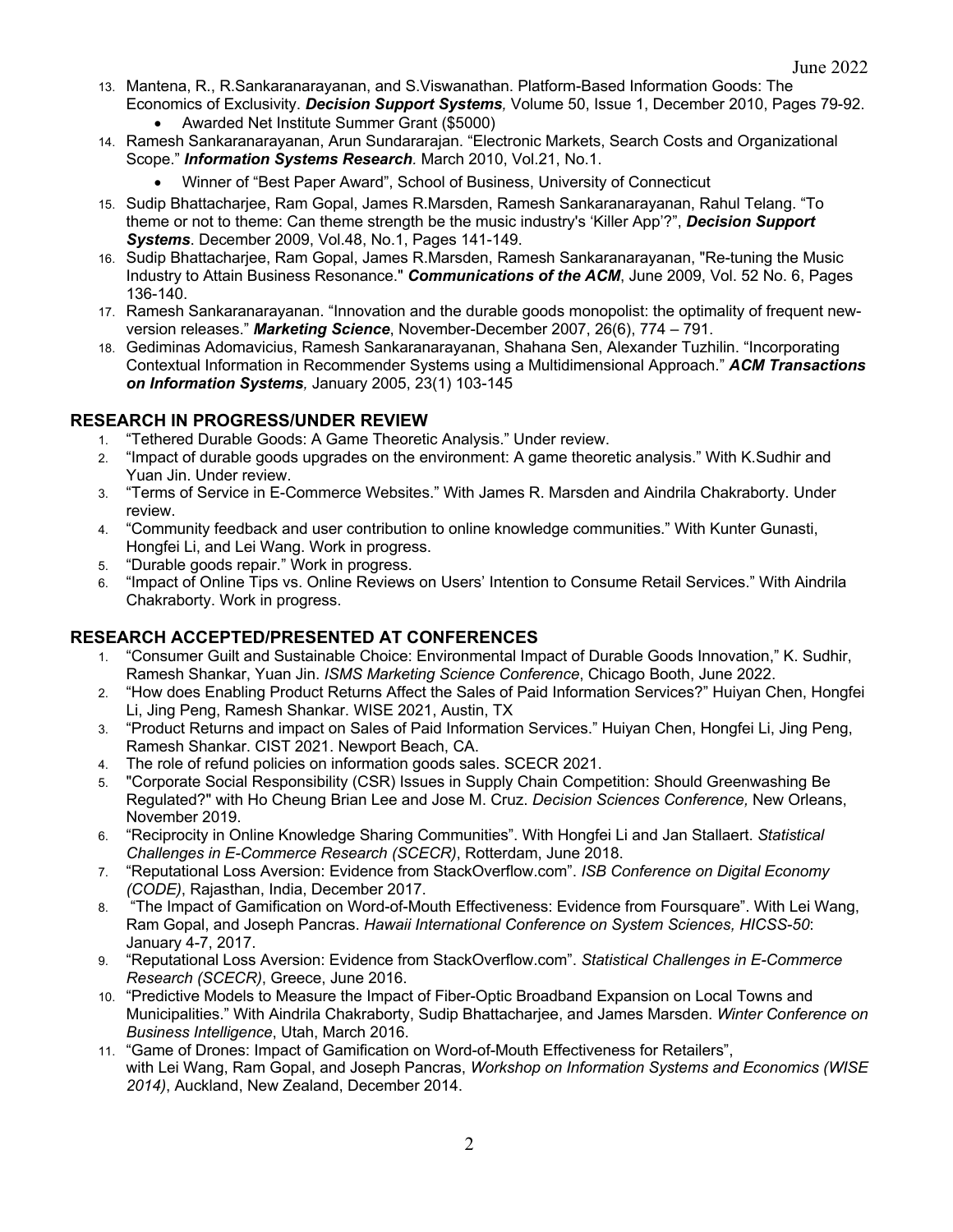- 13. Mantena, R., R.Sankaranarayanan, and S.Viswanathan. Platform-Based Information Goods: The Economics of Exclusivity. *Decision Support Systems,* Volume 50, Issue 1, December 2010, Pages 79-92.
	- Awarded Net Institute Summer Grant (\$5000)
- 14. Ramesh Sankaranarayanan, Arun Sundararajan. "Electronic Markets, Search Costs and Organizational Scope." *Information Systems Research.* March 2010, Vol.21, No.1.
	- Winner of !Best Paper Award", School of Business, University of Connecticut
- 15. Sudip Bhattacharjee, Ram Gopal, James R.Marsden, Ramesh Sankaranarayanan, Rahul Telang. "To theme or not to theme: Can theme strength be the music industry's 'Killer App'?", *Decision Support Systems*. December 2009, Vol.48, No.1, Pages 141-149.
- 16. Sudip Bhattacharjee, Ram Gopal, James R.Marsden, Ramesh Sankaranarayanan, "Re-tuning the Music Industry to Attain Business Resonance." *Communications of the ACM*, June 2009, Vol. 52 No. 6, Pages 136-140.
- 17. Ramesh Sankaranarayanan. "Innovation and the durable goods monopolist: the optimality of frequent newversion releases." *Marketing Science*, November-December 2007, 26(6), 774 – 791.
- 18. Gediminas Adomavicius, Ramesh Sankaranarayanan, Shahana Sen, Alexander Tuzhilin. "Incorporating Contextual Information in Recommender Systems using a Multidimensional Approach." *ACM Transactions on Information Systems,* January 2005, 23(1) 103-145

#### **RESEARCH IN PROGRESS/UNDER REVIEW**

- 1. "Tethered Durable Goods: A Game Theoretic Analysis." Under review.
- 2. "Impact of durable goods upgrades on the environment: A game theoretic analysis." With K.Sudhir and Yuan Jin. Under review.
- 3. "Terms of Service in E-Commerce Websites." With James R. Marsden and Aindrila Chakraborty. Under review.
- 4. "Community feedback and user contribution to online knowledge communities." With Kunter Gunasti, Hongfei Li, and Lei Wang. Work in progress.
- 5. "Durable goods repair." Work in progress.
- 6. "Impact of Online Tips vs. Online Reviews on Users' Intention to Consume Retail Services." With Aindrila Chakraborty. Work in progress.

#### **RESEARCH ACCEPTED/PRESENTED AT CONFERENCES**

- 1. "Consumer Guilt and Sustainable Choice: Environmental Impact of Durable Goods Innovation," K. Sudhir, Ramesh Shankar, Yuan Jin. *ISMS Marketing Science Conference*, Chicago Booth, June 2022.
- 2. "How does Enabling Product Returns Affect the Sales of Paid Information Services?" Huiyan Chen, Hongfei Li, Jing Peng, Ramesh Shankar. WISE 2021, Austin, TX
- 3. "Product Returns and impact on Sales of Paid Information Services." Huiyan Chen, Hongfei Li, Jing Peng, Ramesh Shankar. CIST 2021. Newport Beach, CA.
- 4. The role of refund policies on information goods sales. SCECR 2021.
- 5. "Corporate Social Responsibility (CSR) Issues in Supply Chain Competition: Should Greenwashing Be Regulated?" with Ho Cheung Brian Lee and Jose M. Cruz. *Decision Sciences Conference,* New Orleans, November 2019.
- 6. "Reciprocity in Online Knowledge Sharing Communities". With Hongfei Li and Jan Stallaert. *Statistical Challenges in E-Commerce Research (SCECR)*, Rotterdam, June 2018.
- 7. "Reputational Loss Aversion: Evidence from StackOverflow.com". *ISB Conference on Digital Economy (CODE)*, Rajasthan, India, December 2017.
- 8. "The Impact of Gamification on Word-of-Mouth Effectiveness: Evidence from Foursquare". With Lei Wang, Ram Gopal, and Joseph Pancras. *Hawaii International Conference on System Sciences, HICSS-50*: January 4-7, 2017.
- 9. "Reputational Loss Aversion: Evidence from StackOverflow.com". *Statistical Challenges in E-Commerce Research (SCECR)*, Greece, June 2016.
- 10. "Predictive Models to Measure the Impact of Fiber-Optic Broadband Expansion on Local Towns and Municipalities." With Aindrila Chakraborty, Sudip Bhattacharjee, and James Marsden. *Winter Conference on Business Intelligence*, Utah, March 2016.
- 11. "Game of Drones: Impact of Gamification on Word-of-Mouth Effectiveness for Retailers", with Lei Wang, Ram Gopal, and Joseph Pancras, *Workshop on Information Systems and Economics (WISE 2014)*, Auckland, New Zealand, December 2014.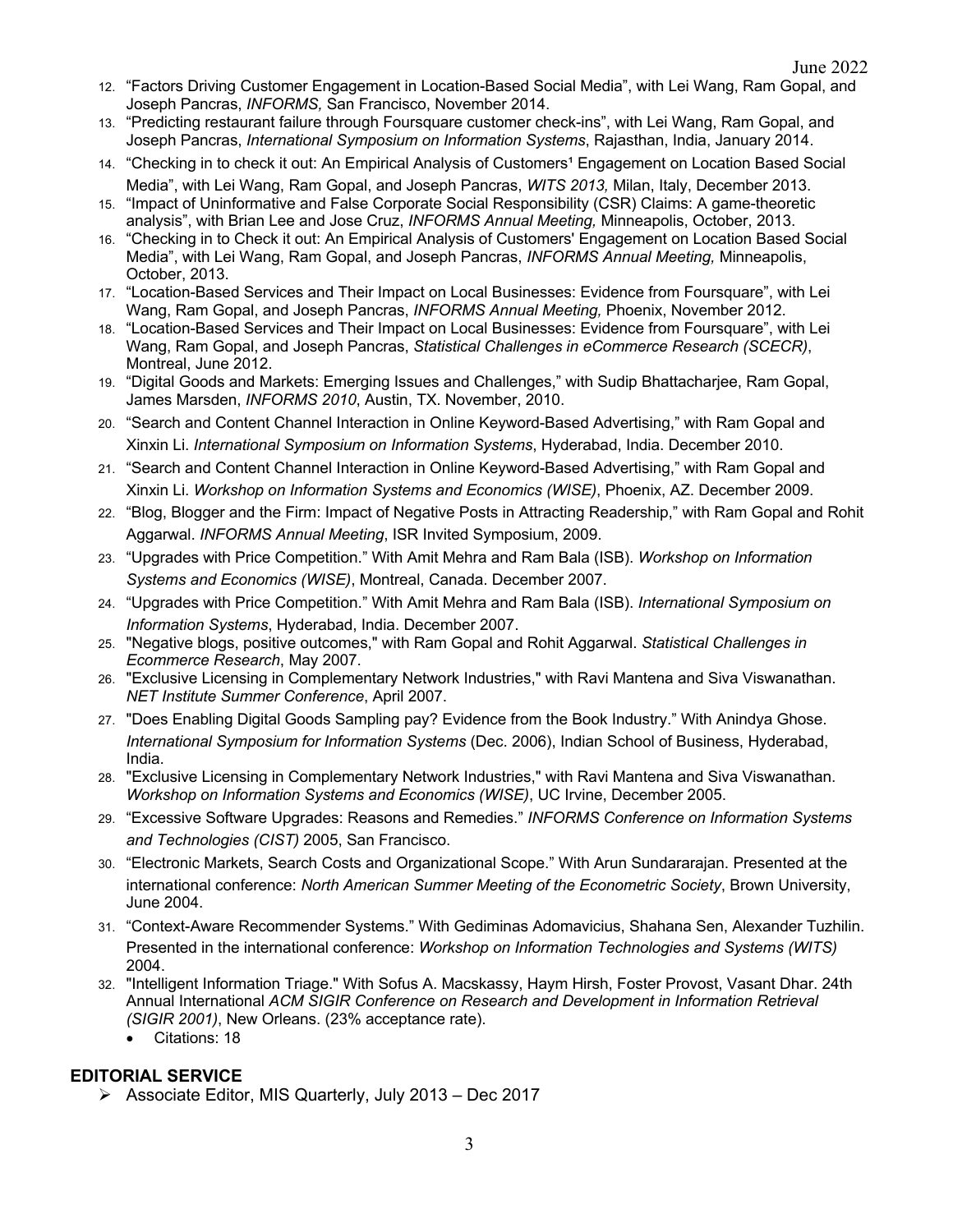- 12. "Factors Driving Customer Engagement in Location-Based Social Media", with Lei Wang, Ram Gopal, and Joseph Pancras, *INFORMS,* San Francisco, November 2014.
- 13. "Predicting restaurant failure through Foursquare customer check-ins", with Lei Wang, Ram Gopal, and Joseph Pancras, *International Symposium on Information Systems*, Rajasthan, India, January 2014.
- 14. "Checking in to check it out: An Empirical Analysis of Customers<sup>1</sup> Engagement on Location Based Social Media", with Lei Wang, Ram Gopal, and Joseph Pancras, *WITS 2013,* Milan, Italy, December 2013.
- 15. "Impact of Uninformative and False Corporate Social Responsibility (CSR) Claims: A game-theoretic analysis", with Brian Lee and Jose Cruz, *INFORMS Annual Meeting,* Minneapolis, October, 2013.
- 16. "Checking in to Check it out: An Empirical Analysis of Customers' Engagement on Location Based Social Media", with Lei Wang, Ram Gopal, and Joseph Pancras, *INFORMS Annual Meeting,* Minneapolis, October, 2013.
- 17. "Location-Based Services and Their Impact on Local Businesses: Evidence from Foursquare", with Lei Wang, Ram Gopal, and Joseph Pancras, *INFORMS Annual Meeting,* Phoenix, November 2012.
- 18. "Location-Based Services and Their Impact on Local Businesses: Evidence from Foursquare", with Lei Wang, Ram Gopal, and Joseph Pancras, *Statistical Challenges in eCommerce Research (SCECR)*, Montreal, June 2012.
- 19. "Digital Goods and Markets: Emerging Issues and Challenges," with Sudip Bhattacharjee, Ram Gopal, James Marsden, *INFORMS 2010*, Austin, TX. November, 2010.
- 20. "Search and Content Channel Interaction in Online Keyword-Based Advertising," with Ram Gopal and Xinxin Li. *International Symposium on Information Systems*, Hyderabad, India. December 2010.
- 21. !Search and Content Channel Interaction in Online Keyword-Based Advertising," with Ram Gopal and Xinxin Li. *Workshop on Information Systems and Economics (WISE)*, Phoenix, AZ. December 2009.
- 22. !Blog, Blogger and the Firm: Impact of Negative Posts in Attracting Readership," with Ram Gopal and Rohit Aggarwal. *INFORMS Annual Meeting*, ISR Invited Symposium, 2009.
- 23. !Upgrades with Price Competition." With Amit Mehra and Ram Bala (ISB). *Workshop on Information Systems and Economics (WISE)*, Montreal, Canada. December 2007.
- 24. !Upgrades with Price Competition." With Amit Mehra and Ram Bala (ISB). *International Symposium on Information Systems*, Hyderabad, India. December 2007.
- 25. "Negative blogs, positive outcomes," with Ram Gopal and Rohit Aggarwal. *Statistical Challenges in Ecommerce Research*, May 2007.
- 26. "Exclusive Licensing in Complementary Network Industries," with Ravi Mantena and Siva Viswanathan. *NET Institute Summer Conference*, April 2007.
- 27. "Does Enabling Digital Goods Sampling pay? Evidence from the Book Industry." With Anindya Ghose. *International Symposium for Information Systems* (Dec. 2006), Indian School of Business, Hyderabad, India.
- 28. "Exclusive Licensing in Complementary Network Industries," with Ravi Mantena and Siva Viswanathan. *Workshop on Information Systems and Economics (WISE)*, UC Irvine, December 2005.
- 29. !Excessive Software Upgrades: Reasons and Remedies." *INFORMS Conference on Information Systems and Technologies (CIST)* 2005, San Francisco.
- 30. !Electronic Markets, Search Costs and Organizational Scope." With Arun Sundararajan. Presented at the international conference: *North American Summer Meeting of the Econometric Society*, Brown University, June 2004.
- 31. !Context-Aware Recommender Systems." With Gediminas Adomavicius, Shahana Sen, Alexander Tuzhilin. Presented in the international conference: *Workshop on Information Technologies and Systems (WITS)* 2004.
- 32. "Intelligent Information Triage." With Sofus A. Macskassy, Haym Hirsh, Foster Provost, Vasant Dhar. 24th Annual International *ACM SIGIR Conference on Research and Development in Information Retrieval (SIGIR 2001)*, New Orleans. (23% acceptance rate).
	- Citations: 18

# **EDITORIAL SERVICE**

 $\triangleright$  Associate Editor, MIS Quarterly, July 2013 – Dec 2017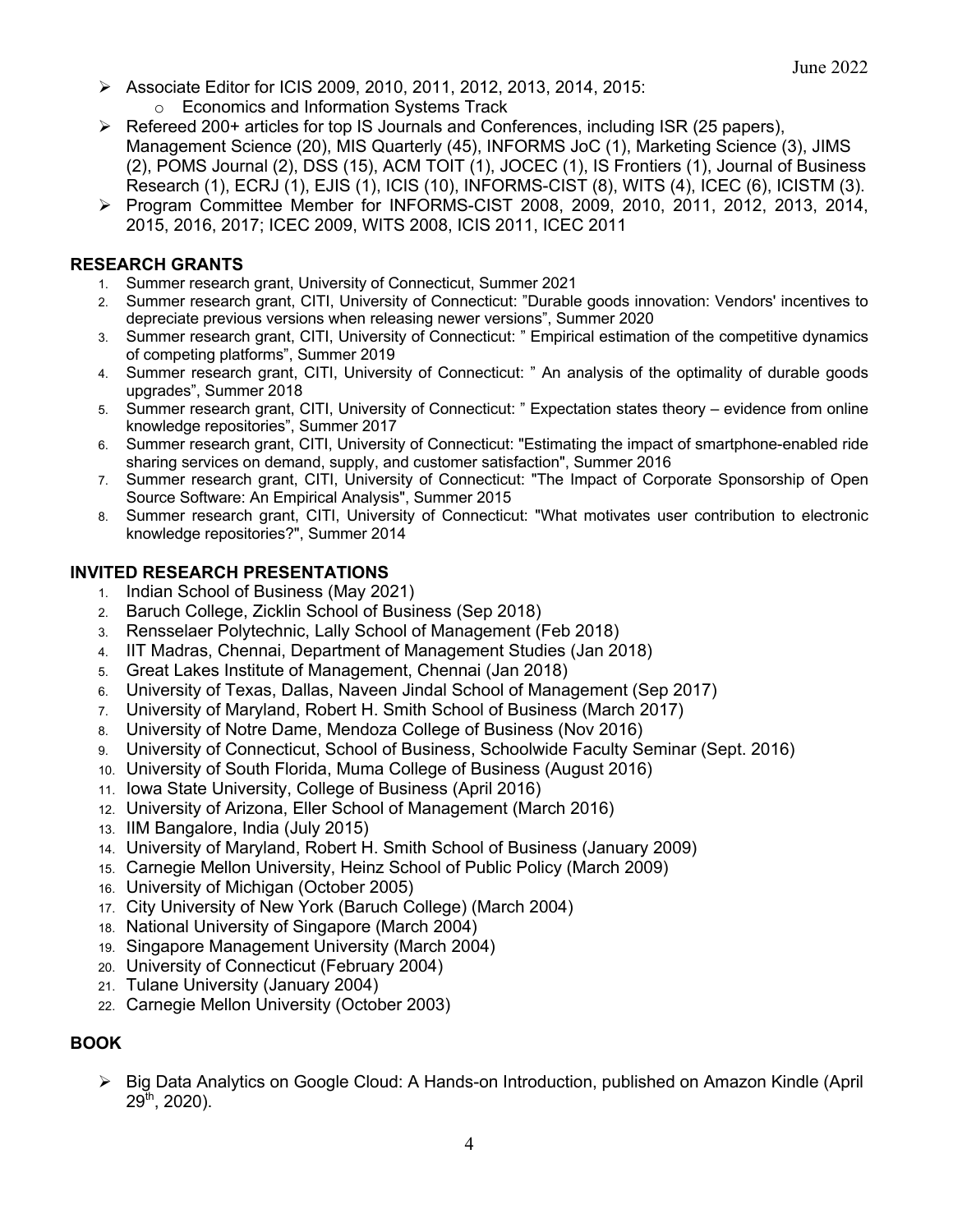- Ø Associate Editor for ICIS 2009, 2010, 2011, 2012, 2013, 2014, 2015:
	- o Economics and Information Systems Track
- $\triangleright$  Refereed 200+ articles for top IS Journals and Conferences, including ISR (25 papers), Management Science (20), MIS Quarterly (45), INFORMS JoC (1), Marketing Science (3), JIMS (2), POMS Journal (2), DSS (15), ACM TOIT (1), JOCEC (1), IS Frontiers (1), Journal of Business Research (1), ECRJ (1), EJIS (1), ICIS (10), INFORMS-CIST (8), WITS (4), ICEC (6), ICISTM (3).
- Ø Program Committee Member for INFORMS-CIST 2008, 2009, 2010, 2011, 2012, 2013, 2014, 2015, 2016, 2017; ICEC 2009, WITS 2008, ICIS 2011, ICEC 2011

#### **RESEARCH GRANTS**

- 1. Summer research grant, University of Connecticut, Summer 2021
- 2. Summer research grant, CITI, University of Connecticut: "Durable goods innovation: Vendors' incentives to depreciate previous versions when releasing newer versions", Summer 2020
- 3. Summer research grant, CITI, University of Connecticut: " Empirical estimation of the competitive dynamics of competing platforms", Summer 2019
- 4. Summer research grant, CITI, University of Connecticut: " An analysis of the optimality of durable goods upgrades", Summer 2018
- 5. Summer research grant, CITI, University of Connecticut: " Expectation states theory evidence from online knowledge repositories", Summer 2017
- 6. Summer research grant, CITI, University of Connecticut: "Estimating the impact of smartphone-enabled ride sharing services on demand, supply, and customer satisfaction", Summer 2016
- 7. Summer research grant, CITI, University of Connecticut: "The Impact of Corporate Sponsorship of Open Source Software: An Empirical Analysis", Summer 2015
- 8. Summer research grant, CITI, University of Connecticut: "What motivates user contribution to electronic knowledge repositories?", Summer 2014

#### **INVITED RESEARCH PRESENTATIONS**

- 1. Indian School of Business (May 2021)
- 2. Baruch College, Zicklin School of Business (Sep 2018)
- 3. Rensselaer Polytechnic, Lally School of Management (Feb 2018)
- 4. IIT Madras, Chennai, Department of Management Studies (Jan 2018)
- 5. Great Lakes Institute of Management, Chennai (Jan 2018)
- 6. University of Texas, Dallas, Naveen Jindal School of Management (Sep 2017)
- 7. University of Maryland, Robert H. Smith School of Business (March 2017)
- 8. University of Notre Dame, Mendoza College of Business (Nov 2016)
- 9. University of Connecticut, School of Business, Schoolwide Faculty Seminar (Sept. 2016)
- 10. University of South Florida, Muma College of Business (August 2016)
- 11. Iowa State University, College of Business (April 2016)
- 12. University of Arizona, Eller School of Management (March 2016)
- 13. IIM Bangalore, India (July 2015)
- 14. University of Maryland, Robert H. Smith School of Business (January 2009)
- 15. Carnegie Mellon University, Heinz School of Public Policy (March 2009)
- 16. University of Michigan (October 2005)
- 17. City University of New York (Baruch College) (March 2004)
- 18. National University of Singapore (March 2004)
- 19. Singapore Management University (March 2004)
- 20. University of Connecticut (February 2004)
- 21. Tulane University (January 2004)
- 22. Carnegie Mellon University (October 2003)

#### **BOOK**

Ø Big Data Analytics on Google Cloud: A Hands-on Introduction, published on Amazon Kindle (April  $29<sup>th</sup>$ , 2020).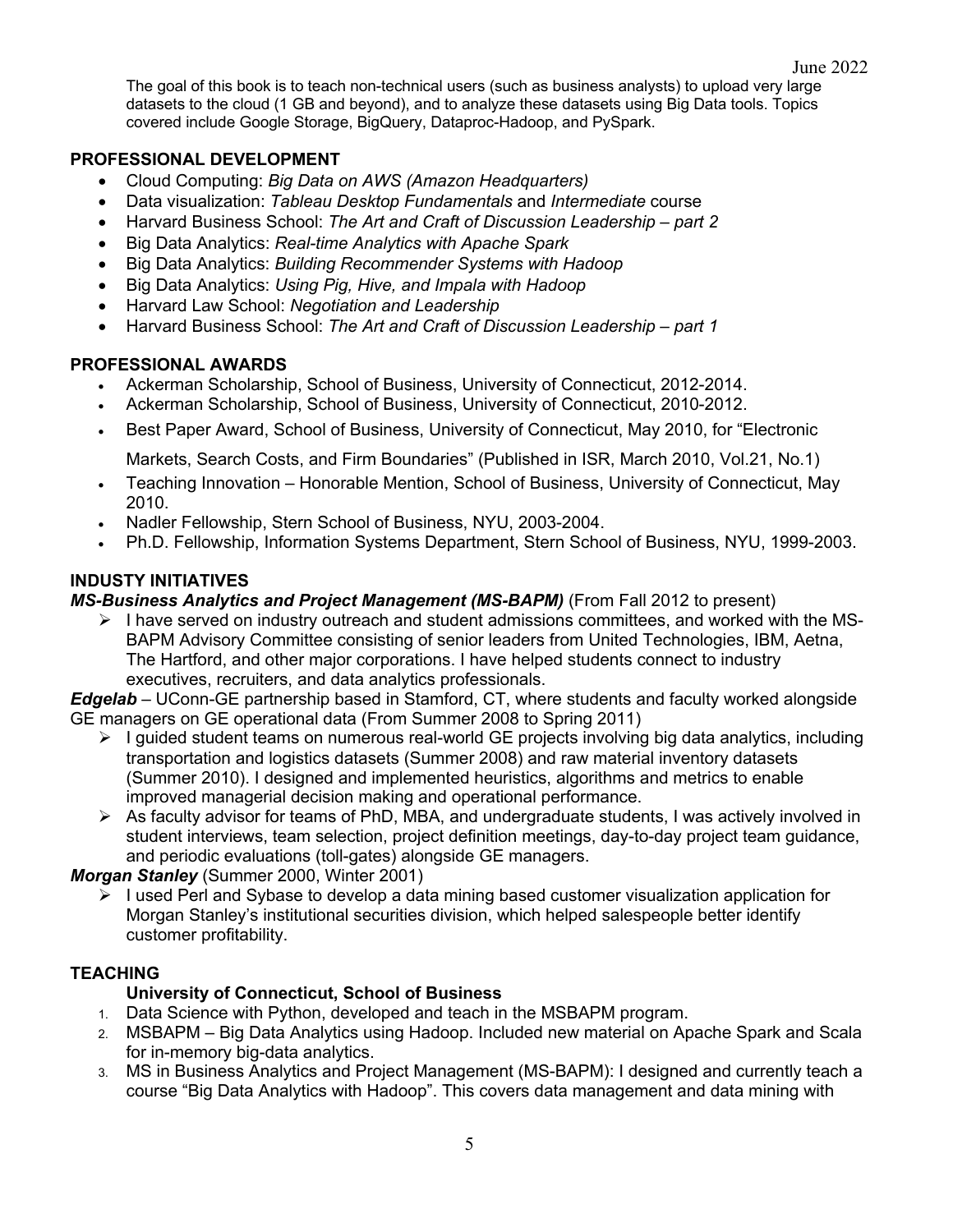The goal of this book is to teach non-technical users (such as business analysts) to upload very large datasets to the cloud (1 GB and beyond), and to analyze these datasets using Big Data tools. Topics covered include Google Storage, BigQuery, Dataproc-Hadoop, and PySpark.

### **PROFESSIONAL DEVELOPMENT**

- Cloud Computing: *Big Data on AWS (Amazon Headquarters)*
- Data visualization: *Tableau Desktop Fundamentals* and *Intermediate* course
- Harvard Business School: *The Art and Craft of Discussion Leadership – part 2*
- Big Data Analytics: *Real-time Analytics with Apache Spark*
- Big Data Analytics: *Building Recommender Systems with Hadoop*
- Big Data Analytics: *Using Pig, Hive, and Impala with Hadoop*
- Harvard Law School: *Negotiation and Leadership*
- Harvard Business School: *The Art and Craft of Discussion Leadership – part 1*

### **PROFESSIONAL AWARDS**

- Ackerman Scholarship, School of Business, University of Connecticut, 2012-2014.
- Ackerman Scholarship, School of Business, University of Connecticut, 2010-2012.
- Best Paper Award, School of Business, University of Connecticut, May 2010, for "Electronic

Markets, Search Costs, and Firm Boundaries" (Published in ISR, March 2010, Vol.21, No.1)

- Teaching Innovation Honorable Mention, School of Business, University of Connecticut, May 2010.
- Nadler Fellowship, Stern School of Business, NYU, 2003-2004.
- Ph.D. Fellowship, Information Systems Department, Stern School of Business, NYU, 1999-2003.

# **INDUSTY INITIATIVES**

*MS-Business Analytics and Project Management (MS-BAPM)* (From Fall 2012 to present)

 $\triangleright$  I have served on industry outreach and student admissions committees, and worked with the MS-BAPM Advisory Committee consisting of senior leaders from United Technologies, IBM, Aetna, The Hartford, and other major corporations. I have helped students connect to industry executives, recruiters, and data analytics professionals.

*Edgelab* – UConn-GE partnership based in Stamford, CT, where students and faculty worked alongside GE managers on GE operational data (From Summer 2008 to Spring 2011)

- $\triangleright$  I guided student teams on numerous real-world GE projects involving big data analytics, including transportation and logistics datasets (Summer 2008) and raw material inventory datasets (Summer 2010). I designed and implemented heuristics, algorithms and metrics to enable improved managerial decision making and operational performance.
- $\triangleright$  As faculty advisor for teams of PhD, MBA, and undergraduate students, I was actively involved in student interviews, team selection, project definition meetings, day-to-day project team guidance, and periodic evaluations (toll-gates) alongside GE managers.

*Morgan Stanley* (Summer 2000, Winter 2001)

 $\triangleright$  I used Perl and Sybase to develop a data mining based customer visualization application for Morgan Stanley's institutional securities division, which helped salespeople better identify customer profitability.

# **TEACHING**

# **University of Connecticut, School of Business**

- 1. Data Science with Python, developed and teach in the MSBAPM program.
- 2. MSBAPM Big Data Analytics using Hadoop. Included new material on Apache Spark and Scala for in-memory big-data analytics.
- 3. MS in Business Analytics and Project Management (MS-BAPM): I designed and currently teach a course "Big Data Analytics with Hadoop". This covers data management and data mining with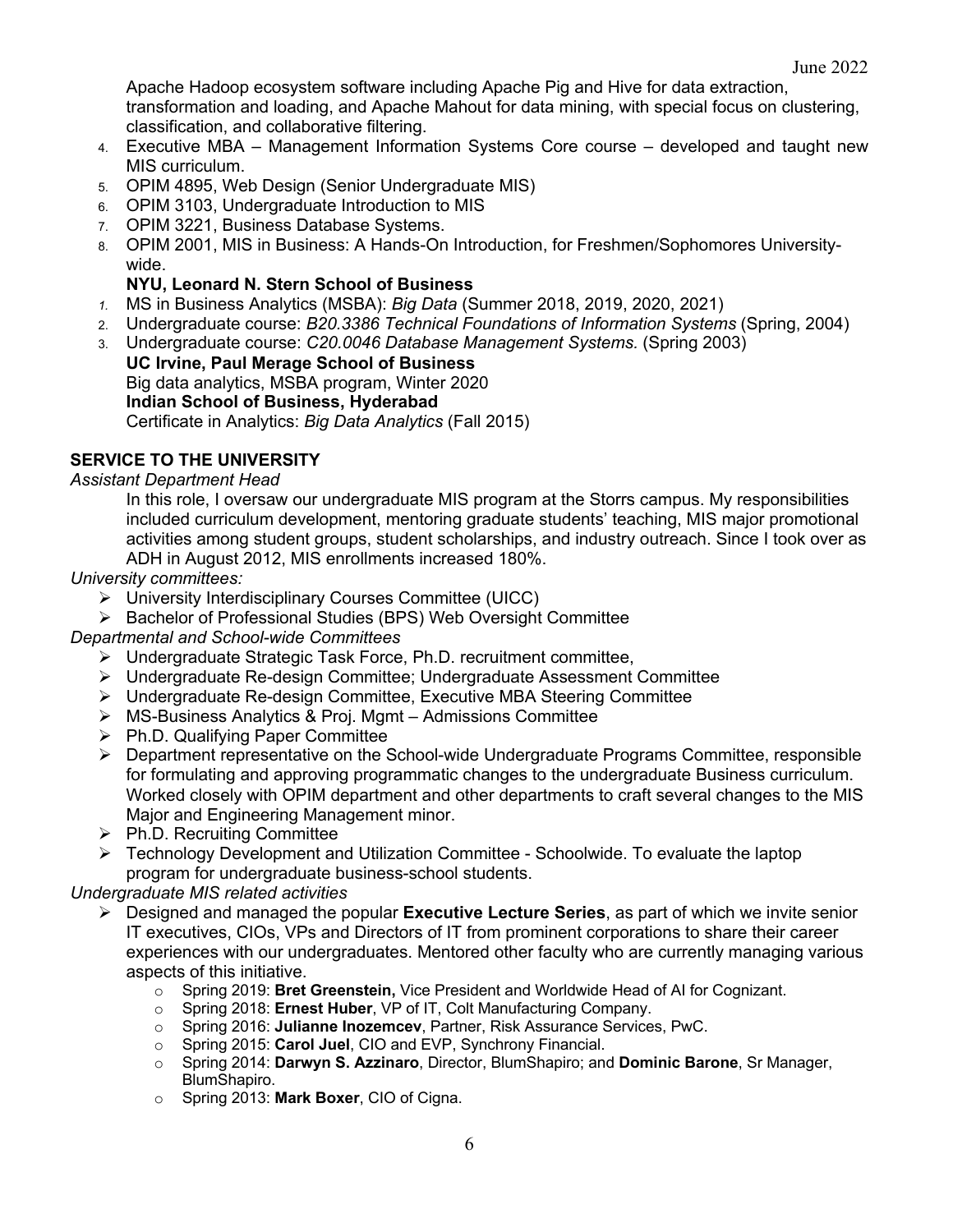Apache Hadoop ecosystem software including Apache Pig and Hive for data extraction, transformation and loading, and Apache Mahout for data mining, with special focus on clustering, classification, and collaborative filtering.

- 4. Executive MBA Management Information Systems Core course developed and taught new MIS curriculum.
- 5. OPIM 4895, Web Design (Senior Undergraduate MIS)
- 6. OPIM 3103, Undergraduate Introduction to MIS
- 7. OPIM 3221, Business Database Systems.
- 8. OPIM 2001, MIS in Business: A Hands-On Introduction, for Freshmen/Sophomores Universitywide.

### **NYU, Leonard N. Stern School of Business**

- *1.* MS in Business Analytics (MSBA): *Big Data* (Summer 2018, 2019, 2020, 2021)
- 2. Undergraduate course: *B20.3386 Technical Foundations of Information Systems* (Spring, 2004)
- 3. Undergraduate course: *C20.0046 Database Management Systems.* (Spring 2003)
- **UC Irvine, Paul Merage School of Business** Big data analytics, MSBA program, Winter 2020 **Indian School of Business, Hyderabad** Certificate in Analytics: *Big Data Analytics* (Fall 2015)

# **SERVICE TO THE UNIVERSITY**

*Assistant Department Head*

In this role, I oversaw our undergraduate MIS program at the Storrs campus. My responsibilities included curriculum development, mentoring graduate students' teaching, MIS major promotional activities among student groups, student scholarships, and industry outreach. Since I took over as ADH in August 2012, MIS enrollments increased 180%.

#### *University committees:*

- Ø University Interdisciplinary Courses Committee (UICC)
- Ø Bachelor of Professional Studies (BPS) Web Oversight Committee

*Departmental and School-wide Committees*

- Ø Undergraduate Strategic Task Force, Ph.D. recruitment committee,
- $\triangleright$  Undergraduate Re-design Committee; Undergraduate Assessment Committee
- $\triangleright$  Undergraduate Re-design Committee, Executive MBA Steering Committee
- $\triangleright$  MS-Business Analytics & Proj. Mgmt Admissions Committee
- $\triangleright$  Ph.D. Qualifying Paper Committee
- Ø Department representative on the School-wide Undergraduate Programs Committee, responsible for formulating and approving programmatic changes to the undergraduate Business curriculum. Worked closely with OPIM department and other departments to craft several changes to the MIS Major and Engineering Management minor.
- $\triangleright$  Ph.D. Recruiting Committee
- $\triangleright$  Technology Development and Utilization Committee Schoolwide. To evaluate the laptop program for undergraduate business-school students.

*Undergraduate MIS related activities*

- Ø Designed and managed the popular **Executive Lecture Series**, as part of which we invite senior IT executives, CIOs, VPs and Directors of IT from prominent corporations to share their career experiences with our undergraduates. Mentored other faculty who are currently managing various aspects of this initiative.
	- o Spring 2019: **Bret Greenstein,** Vice President and Worldwide Head of AI for Cognizant.
	- Spring 2018: **Ernest Huber**, VP of IT, Colt Manufacturing Company.
	- o Spring 2016: **Julianne Inozemcev**, Partner, Risk Assurance Services, PwC.
	- o Spring 2015: **Carol Juel**, CIO and EVP, Synchrony Financial.
	- o Spring 2014: **Darwyn S. Azzinaro**, Director, BlumShapiro; and **Dominic Barone**, Sr Manager, BlumShapiro.
	- o Spring 2013: **Mark Boxer**, CIO of Cigna.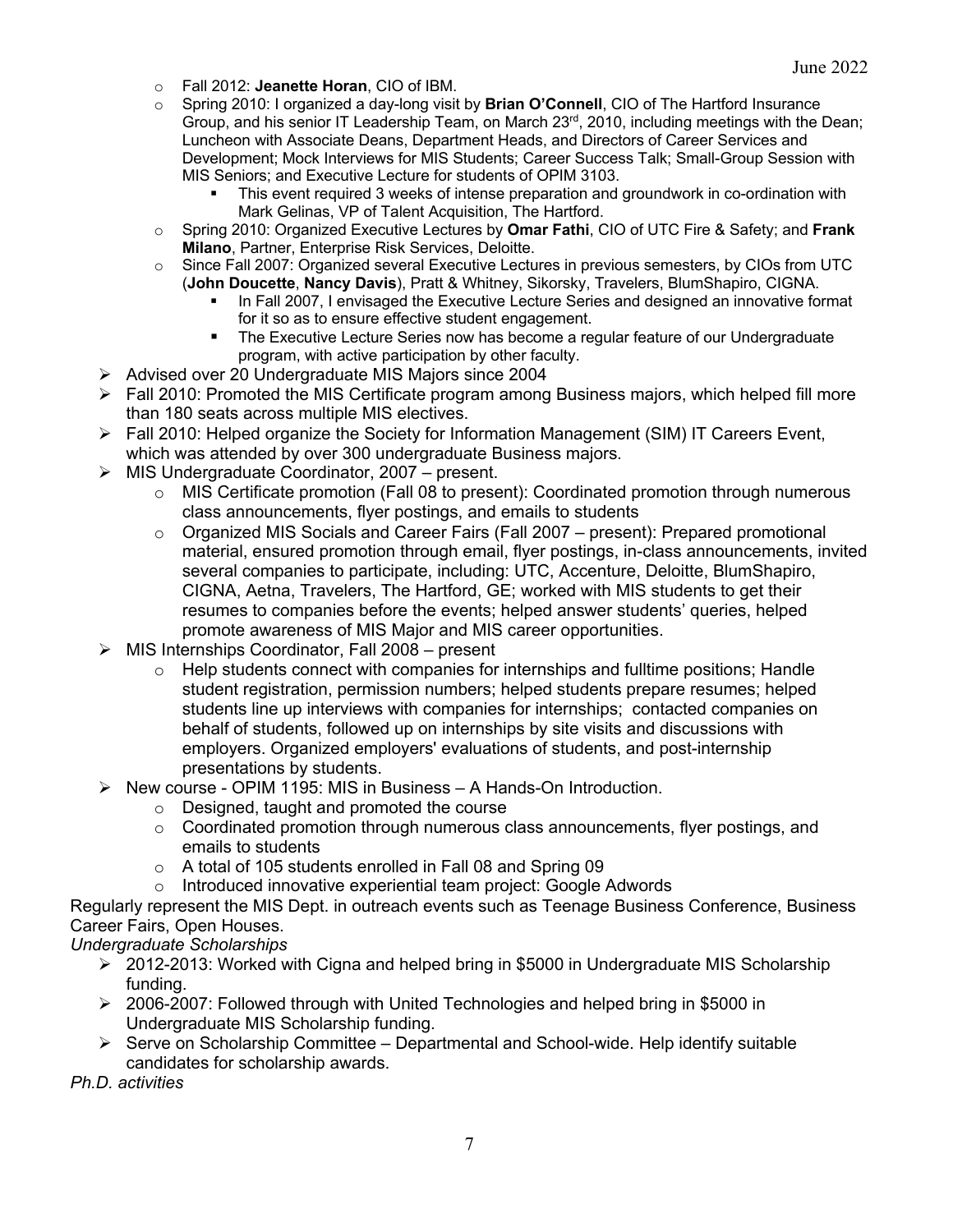- o Fall 2012: **Jeanette Horan**, CIO of IBM.
- Spring 2010: I organized a day-long visit by **Brian O'Connell**, CIO of The Hartford Insurance Group, and his senior IT Leadership Team, on March 23rd, 2010, including meetings with the Dean; Luncheon with Associate Deans, Department Heads, and Directors of Career Services and Development; Mock Interviews for MIS Students; Career Success Talk; Small-Group Session with MIS Seniors; and Executive Lecture for students of OPIM 3103.
	- This event required 3 weeks of intense preparation and groundwork in co-ordination with Mark Gelinas, VP of Talent Acquisition, The Hartford.
- o Spring 2010: Organized Executive Lectures by **Omar Fathi**, CIO of UTC Fire & Safety; and **Frank Milano**, Partner, Enterprise Risk Services, Deloitte.
- o Since Fall 2007: Organized several Executive Lectures in previous semesters, by CIOs from UTC (**John Doucette**, **Nancy Davis**), Pratt & Whitney, Sikorsky, Travelers, BlumShapiro, CIGNA.
	- **In Fall 2007, I envisaged the Executive Lecture Series and designed an innovative format** for it so as to ensure effective student engagement.
	- The Executive Lecture Series now has become a regular feature of our Undergraduate program, with active participation by other faculty.
- Ø Advised over 20 Undergraduate MIS Majors since 2004
- $\triangleright$  Fall 2010: Promoted the MIS Certificate program among Business majors, which helped fill more than 180 seats across multiple MIS electives.
- $\triangleright$  Fall 2010: Helped organize the Society for Information Management (SIM) IT Careers Event, which was attended by over 300 undergraduate Business majors.
- $\triangleright$  MIS Undergraduate Coordinator, 2007 present.
	- $\circ$  MIS Certificate promotion (Fall 08 to present): Coordinated promotion through numerous class announcements, flyer postings, and emails to students
	- $\circ$  Organized MIS Socials and Career Fairs (Fall 2007 present): Prepared promotional material, ensured promotion through email, flyer postings, in-class announcements, invited several companies to participate, including: UTC, Accenture, Deloitte, BlumShapiro, CIGNA, Aetna, Travelers, The Hartford, GE; worked with MIS students to get their resumes to companies before the events; helped answer students' queries, helped promote awareness of MIS Major and MIS career opportunities.
- $\triangleright$  MIS Internships Coordinator, Fall 2008 present
	- $\circ$  Help students connect with companies for internships and fulltime positions; Handle student registration, permission numbers; helped students prepare resumes; helped students line up interviews with companies for internships; contacted companies on behalf of students, followed up on internships by site visits and discussions with employers. Organized employers' evaluations of students, and post-internship presentations by students.
- Ø New course OPIM 1195: MIS in Business A Hands-On Introduction.
	- o Designed, taught and promoted the course
	- $\circ$  Coordinated promotion through numerous class announcements, flyer postings, and emails to students
	- o A total of 105 students enrolled in Fall 08 and Spring 09
	- o Introduced innovative experiential team project: Google Adwords

Regularly represent the MIS Dept. in outreach events such as Teenage Business Conference, Business Career Fairs, Open Houses.

*Undergraduate Scholarships*

- $\geq 2012$ -2013: Worked with Cigna and helped bring in \$5000 in Undergraduate MIS Scholarship funding.
- $\geq$  2006-2007: Followed through with United Technologies and helped bring in \$5000 in Undergraduate MIS Scholarship funding.
- $\triangleright$  Serve on Scholarship Committee Departmental and School-wide. Help identify suitable candidates for scholarship awards.

*Ph.D. activities*